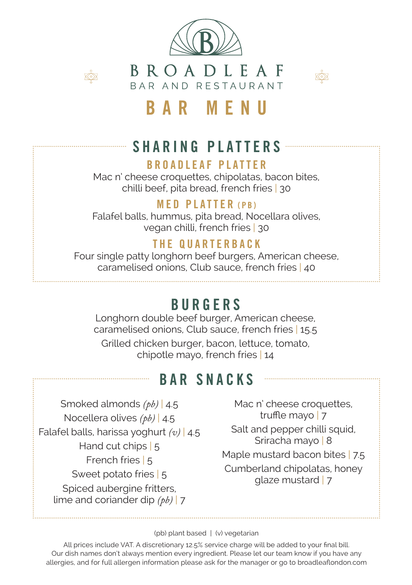



BROADLEAF BAR AND RESTAURANT



# BAR MENU

## SHARING PLATTERS

### BROADLEAF PLATTER

Mac n' cheese croquettes, chipolatas, bacon bites, chilli beef, pita bread, french fries | 30

### **MED PLATTER (PR)**

Falafel balls, hummus, pita bread, Nocellara olives, vegan chilli, french fries | 30

### THE QUARTERBACK

Four single patty longhorn beef burgers, American cheese, caramelised onions, Club sauce, french fries | 40

# BURGERS

Longhorn double beef burger, American cheese, caramelised onions, Club sauce, french fries | 15.5 Grilled chicken burger, bacon, lettuce, tomato, chipotle mayo, french fries | 14

## BAR SNACKS

Smoked almonds *(pb)* | 4.5 Nocellera olives *(pb)* | 4.5 Falafel balls, harissa yoghurt *(v)* | 4.5 Hand cut chips | 5 French fries | 5 Sweet potato fries | 5 Spiced aubergine fritters, lime and coriander dip *(pb)* | 7

Mac n' cheese croquettes, truffle mayo | 7 Salt and pepper chilli squid, Sriracha mayo | 8 Maple mustard bacon bites | 7.5 Cumberland chipolatas, honey glaze mustard | 7

#### (pb) plant based | (v) vegetarian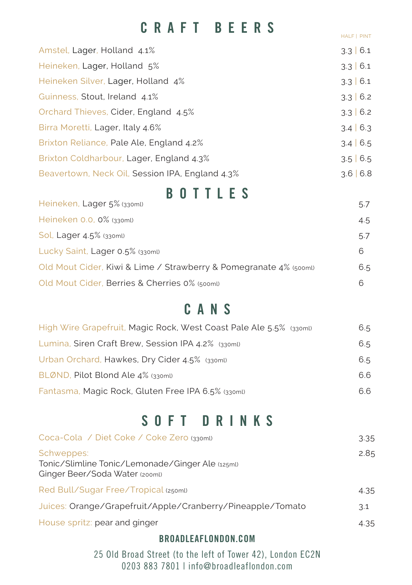## CRAFT BEERS

HALF | PINT

| Amstel, Lager, Holland 4.1%                     | 3.3   6.1      |
|-------------------------------------------------|----------------|
| Heineken, Lager, Holland 5%                     | 3.3   6.1      |
| Heineken Silver, Lager, Holland 4%              | 3.3   6.1      |
| Guinness, Stout, Ireland 4.1%                   | 3.3   6.2      |
| Orchard Thieves, Cider, England 4.5%            | 3.3   6.2      |
| Birra Moretti, Lager, Italy 4.6%                | 3.4   6.3      |
| Brixton Reliance, Pale Ale, England 4.2%        | $3.4 \mid 6.5$ |
| Brixton Coldharbour, Lager, England 4.3%        | $3.5 \mid 6.5$ |
| Beavertown, Neck Oil, Session IPA, England 4.3% | $3.6 \mid 6.8$ |
|                                                 |                |

## BOTTLES

| Heineken, Lager 5% (330ml)                                        | 5.7 |
|-------------------------------------------------------------------|-----|
| Heineken 0.0, 0% (330ml)                                          | 4.5 |
| Sol, Lager 4.5% (330ml)                                           | 5.7 |
| Lucky Saint, Lager 0.5% (330ml)                                   | 6   |
| Old Mout Cider, Kiwi & Lime / Strawberry & Pomegranate 4% (500ml) | 6.5 |
| Old Mout Cider, Berries & Cherries 0% (500ml)                     | 6   |

## CANS

| High Wire Grapefruit, Magic Rock, West Coast Pale Ale 5.5% (330ml) | 6.5 |
|--------------------------------------------------------------------|-----|
| Lumina, Siren Craft Brew, Session IPA 4.2% (330ml)                 | 6.5 |
| Urban Orchard, Hawkes, Dry Cider 4.5% (330ml)                      | 6.5 |
| BLØND, Pilot Blond Ale 4% (330ml)                                  | 6.6 |
| Fantasma, Magic Rock, Gluten Free IPA 6.5% (330ml)                 | 6.6 |

## SOFT DRINKS

| Coca-Cola / Diet Coke / Coke Zero (330ml)                                                        | 3.35 |
|--------------------------------------------------------------------------------------------------|------|
| Schweppes:<br>Tonic/Slimline Tonic/Lemonade/Ginger Ale (125ml)<br>Ginger Beer/Soda Water (200ml) | 2.85 |
| Red Bull/Sugar Free/Tropical (250ml)                                                             | 4.35 |
| Juices: Orange/Grapefruit/Apple/Cranberry/Pineapple/Tomato                                       | 3.1  |
| House spritz: pear and ginger                                                                    | 4.35 |

#### BROADLEAFLONDON.COM

25 Old Broad Street (to the left of Tower 42), London EC2N 0203 883 7801 | info@broadleaflondon.com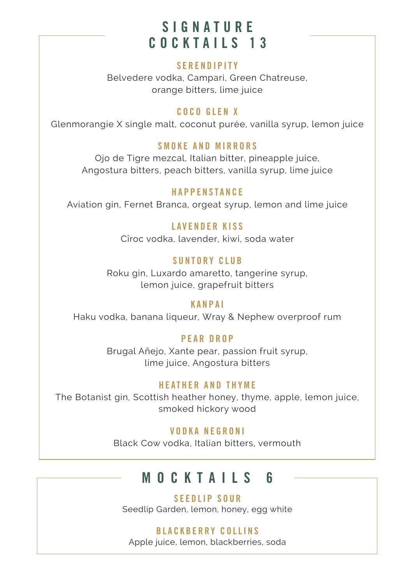## SIGNATURE COCKTAILS 13

#### **SERENDIPITY**

Belvedere vodka, Campari, Green Chatreuse, orange bitters, lime juice

#### COCO GLEN X

Glenmorangie X single malt, coconut purée, vanilla syrup, lemon juice

#### SMOKE AND MIRRORS

Ojo de Tigre mezcal, Italian bitter, pineapple juice, Angostura bitters, peach bitters, vanilla syrup, lime juice

#### HAPPENSTANCE

Aviation gin, Fernet Branca, orgeat syrup, lemon and lime juice

#### LAVENDER KISS

Cîroc vodka, lavender, kiwi, soda water

#### SUNTORY CLUB

Roku gin, Luxardo amaretto, tangerine syrup, lemon juice, grapefruit bitters

#### KANPAI

Haku vodka, banana liqueur, Wray & Nephew overproof rum

#### PEAR DROP

Brugal Añejo, Xante pear, passion fruit syrup, lime juice, Angostura bitters

#### HEATHER AND THYME

The Botanist gin, Scottish heather honey, thyme, apple, lemon juice, smoked hickory wood

#### VODKA NEGRONI

Black Cow vodka, Italian bitters, vermouth

## MOCKTAILS 6

#### S E E D L I P SO UR

Seedlip Garden, lemon, honey, egg white

#### BLACKBERRY COLLINS

Apple juice, lemon, blackberries, soda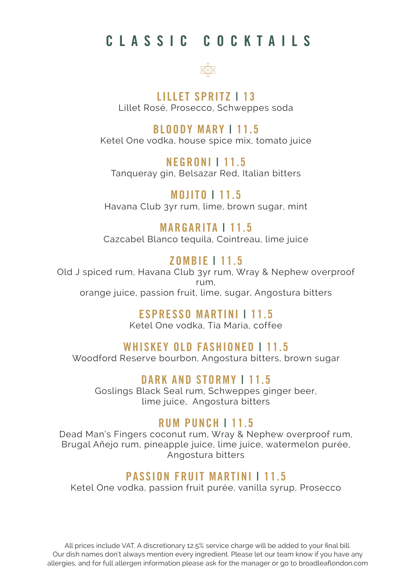## CLASSIC COCKTAILS



LILLET SPRITZ | 13 Lillet Rosé, Prosecco, Schweppes soda

#### BLOODY MARY | 11.5

Ketel One vodka, house spice mix, tomato juice

NEGRONI | 11.5 Tanqueray gin, Belsazar Red, Italian bitters

MOJITO | 11.5 Havana Club 3yr rum, lime, brown sugar, mint

### MARGARITA | 11.5

Cazcabel Blanco tequila, Cointreau, lime juice

### ZOMBIE | 11.5

Old J spiced rum, Havana Club 3yr rum, Wray & Nephew overproof rum, orange juice, passion fruit, lime, sugar, Angostura bitters

### ESPRESSO MARTINI | 11.5

Ketel One vodka, Tia Maria, coffee

### WHISKEY OLD FASHIONED | 11.5

Woodford Reserve bourbon, Angostura bitters, brown sugar

DARK AND STORMY | 11.5

Goslings Black Seal rum, Schweppes ginger beer, lime juice, Angostura bitters

### RUM PUNCH | 11.5

Dead Man's Fingers coconut rum, Wray & Nephew overproof rum, Brugal Añejo rum, pineapple juice, lime juice, watermelon purée, Angostura bitters

### PASSION FRUIT MARTINI | 11.5

Ketel One vodka, passion fruit purée, vanilla syrup, Prosecco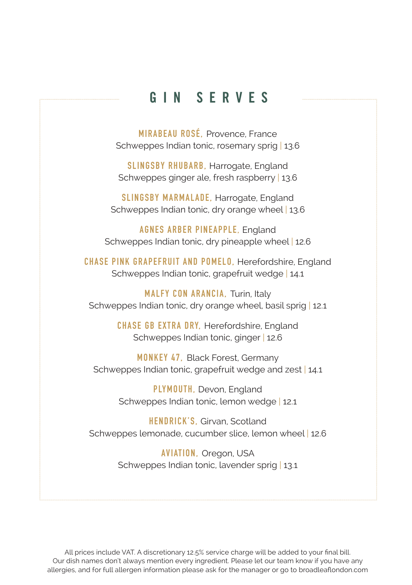### GIN SERVES

**MIRABEAU ROSÉ,** Provence, France Schweppes Indian tonic, rosemary sprig | 13.6

**SLINGSBY RHUBARB,** Harrogate, England Schweppes ginger ale, fresh raspberry | 13.6

**SLINGSBY MARMALADE,** Harrogate, England Schweppes Indian tonic, dry orange wheel | 13.6

**AGNES ARBER PINEAPPLE,** England Schweppes Indian tonic, dry pineapple wheel | 12.6

**CHASE PINK GRAPEFRUIT AND POMELO,** Herefordshire, England Schweppes Indian tonic, grapefruit wedge | 14.1

**MALFY CON ARANCIA,** Turin, Italy Schweppes Indian tonic, dry orange wheel, basil sprig | 12.1

> **CHASE GB EXTRA DRY,** Herefordshire, England Schweppes Indian tonic, ginger | 12.6

**MONKEY 47,** Black Forest, Germany Schweppes Indian tonic, grapefruit wedge and zest | 14.1

> **PLYMOUTH,** Devon, England Schweppes Indian tonic, lemon wedge | 12.1

**HENDRICK'S,** Girvan, Scotland Schweppes lemonade, cucumber slice, lemon wheel | 12.6

> **AVIATION,** Oregon, USA Schweppes Indian tonic, lavender sprig | 13.1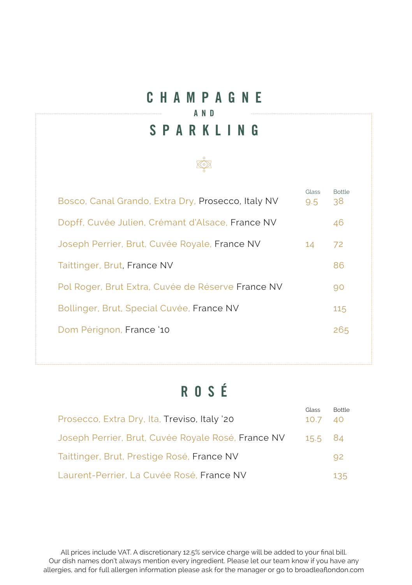### CHAMPAGNE AND **SPARKLING**



# ROSÉ

| Prosecco, Extra Dry, Ita, Treviso, Italy '20       | Glass<br>10.7 | Bottle<br>- 40 |
|----------------------------------------------------|---------------|----------------|
| Joseph Perrier, Brut, Cuvée Royale Rosé, France NV | 15.5 84       |                |
| Taittinger, Brut, Prestige Rosé, France NV         |               | 92             |
| Laurent-Perrier, La Cuvée Rosé, France NV          |               | 135            |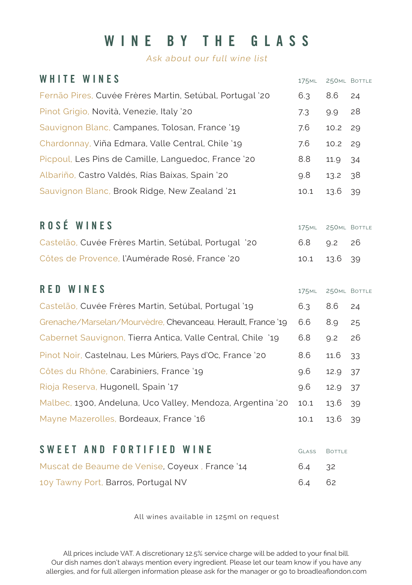## WINE BY THE GLASS

Ask about our full wine list

| WHITE WINES                                                  | 175 <sub>ML</sub> |               | 250ML BOTTLE |
|--------------------------------------------------------------|-------------------|---------------|--------------|
| Fernão Pires, Cuvée Frères Martin, Setúbal, Portugal '20     | 6.3               | 8.6           | 24           |
| Pinot Grigio, Novità, Venezie, Italy '20                     | 7.3               | 9.9           | 28           |
| Sauvignon Blanc, Campanes, Tolosan, France '19               | 7.6               | 10.2          | 29           |
| Chardonnay, Viña Edmara, Valle Central, Chile '19            | 7.6               | 10.2          | 29           |
| Picpoul, Les Pins de Camille, Languedoc, France '20          | 8.8               | 11.9          | 34           |
| Albariño, Castro Valdés, Rías Baíxas, Spain '20              | 9.8               | 13.2          | 38           |
| Sauvignon Blanc, Brook Ridge, New Zealand '21                | 10.1              | 13.6          | 39           |
| ROSÉ WINES                                                   | <b>175ML</b>      |               | 250ML BOTTLE |
| Castelão, Cuvée Frères Martin, Setúbal, Portugal '20         | 6.8               | 9.2           | 26           |
| Côtes de Provence, l'Aumérade Rosé, France '20               | 10.1              | 13.6          | 39           |
| <b>RED WINES</b>                                             | 175 <sub>ML</sub> |               | 250ML BOTTLE |
| Castelão, Cuvée Frères Martin, Setúbal, Portugal '19         | 6.3               | 8.6           | 24           |
| Grenache/Marselan/Mourvèdre, Chevanceau, Herault, France '19 | 6.6               | 8.9           | 25           |
| Cabernet Sauvignon, Tierra Antica, Valle Central, Chile '19  | 6.8               | 9.2           | 26           |
| Pinot Noir, Castelnau, Les Mûriers, Pays d'Oc, France '20    | 8.6               | 11.6          | 33           |
| Côtes du Rhône, Carabiniers, France '19                      | 9.6               | 12.9          | 37           |
| Rioja Reserva, Hugonell, Spain '17                           | 9.6               | 12.9          | 37           |
| Malbec, 1300, Andeluna, Uco Valley, Mendoza, Argentina '20   | 10.1              | 13.6          | 39           |
| Mayne Mazerolles, Bordeaux, France '16                       | 10.1              | 13.6          | 39           |
| <b>SWEET AND FORTIFIED WINE</b>                              | GLASS             | <b>BOTTLE</b> |              |
| Muscat de Beaume de Venise, Coyeux, France '14               | 6.4               | 32            |              |
| 10y Tawny Port, Barros, Portugal NV                          | 6.4               | 62            |              |

All wines available in 125ml on request